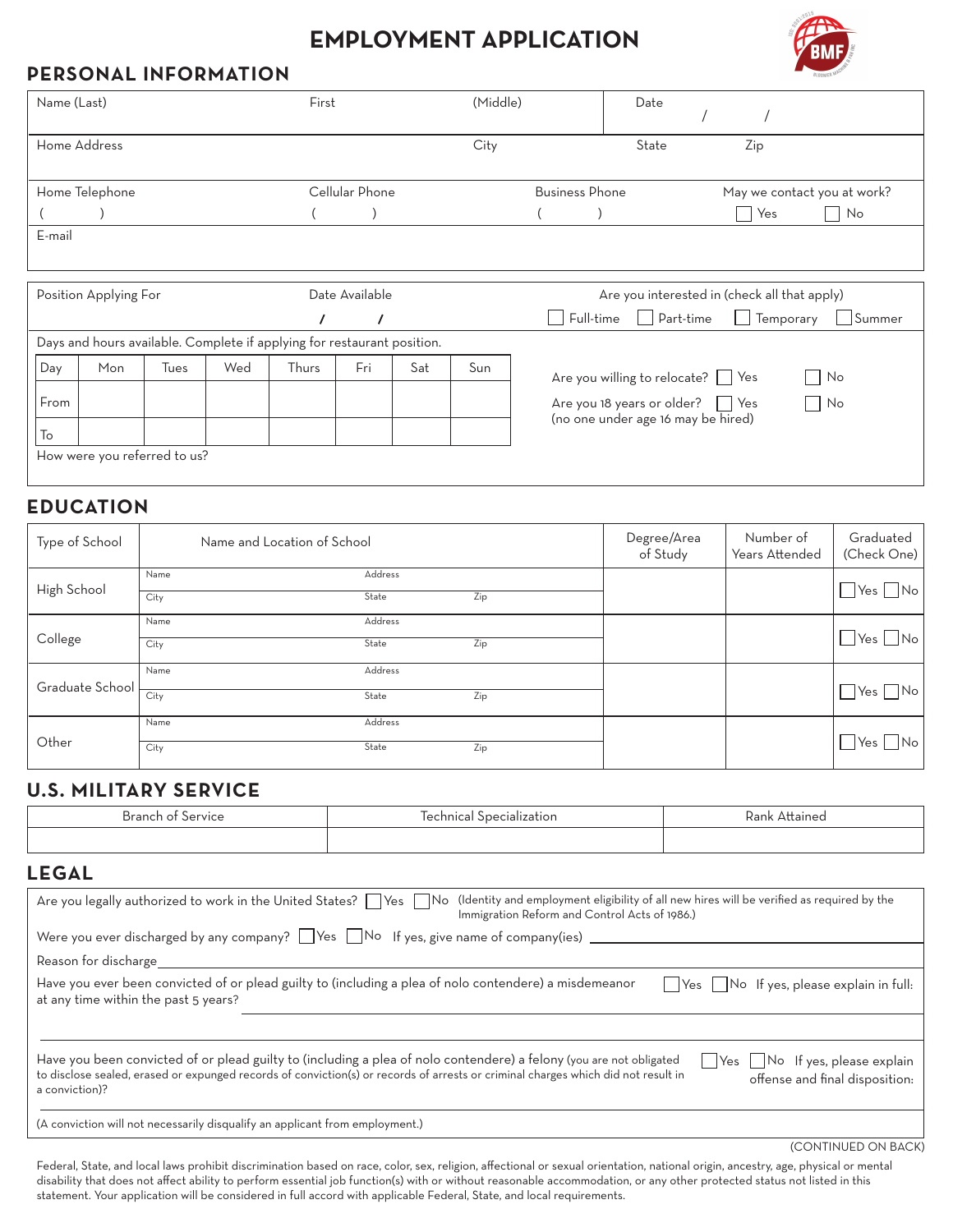# **Employment Application**



#### **PERSONAL INFORMATION**

| Name (Last)           |                                                                         |      |     | First          |                |     | (Middle)                                     |                                                               | Date                                         |     |                             |  |
|-----------------------|-------------------------------------------------------------------------|------|-----|----------------|----------------|-----|----------------------------------------------|---------------------------------------------------------------|----------------------------------------------|-----|-----------------------------|--|
|                       | Home Address                                                            |      |     |                |                |     | City                                         |                                                               | State                                        | Zip |                             |  |
| Home Telephone        |                                                                         |      |     |                | Cellular Phone |     |                                              | <b>Business Phone</b>                                         |                                              |     | May we contact you at work? |  |
|                       |                                                                         |      |     |                |                |     |                                              |                                                               |                                              | Yes | No                          |  |
| E-mail                |                                                                         |      |     |                |                |     |                                              |                                                               |                                              |     |                             |  |
|                       |                                                                         |      |     |                |                |     |                                              |                                                               |                                              |     |                             |  |
| Position Applying For |                                                                         |      |     | Date Available |                |     | Are you interested in (check all that apply) |                                                               |                                              |     |                             |  |
|                       |                                                                         |      |     | $\prime$       |                |     |                                              | Part-time<br>Femporary<br>Full-time<br>$\mathbf{L}$<br>Summer |                                              |     |                             |  |
|                       | Days and hours available. Complete if applying for restaurant position. |      |     |                |                |     |                                              |                                                               |                                              |     |                             |  |
| Day                   | Mon                                                                     | Tues | Wed | Thurs          | Fri            | Sat | Sun                                          |                                                               | Are you willing to relocate? Yes             |     | $\sim$<br>No                |  |
| From                  |                                                                         |      |     |                |                |     |                                              |                                                               | Are you 18 years or older? $\vert \vert$ Yes |     | $\mathsf{L}$<br>No          |  |
| To                    |                                                                         |      |     |                |                |     |                                              | (no one under age 16 may be hired)                            |                                              |     |                             |  |
|                       | How were you referred to us?                                            |      |     |                |                |     |                                              |                                                               |                                              |     |                             |  |

#### **EDUCATION**

| Type of School  | Name and Location of School |         |     | Degree/Area<br>of Study | Number of<br>Years Attended | Graduated<br>(Check One)   |
|-----------------|-----------------------------|---------|-----|-------------------------|-----------------------------|----------------------------|
| High School     | Name                        | Address |     |                         |                             | $\Box$ Yes $\Box$ No       |
|                 | City                        | State   | Zip |                         |                             |                            |
| College         | Name                        | Address |     |                         |                             |                            |
|                 | City                        | State   | Zip |                         |                             | $\bigcup$ Yes $\bigcap$ No |
| Graduate School | Name                        | Address |     |                         |                             |                            |
|                 | City                        | State   | Zip |                         |                             | $\Box$ Yes $\Box$ No       |
| Other           | Name                        | Address |     |                         |                             |                            |
|                 | City                        | State   | Zip |                         |                             | $\bigcup$ Yes $\bigcap$ No |

#### **U.S. MILITARY SERVICE**

| <b>Branch of Service</b>                                                                                                                                                                                   | Technical Specialization                                                                               | Rank Attained                                        |  |  |  |
|------------------------------------------------------------------------------------------------------------------------------------------------------------------------------------------------------------|--------------------------------------------------------------------------------------------------------|------------------------------------------------------|--|--|--|
|                                                                                                                                                                                                            |                                                                                                        |                                                      |  |  |  |
| <b>LEGAL</b>                                                                                                                                                                                               |                                                                                                        |                                                      |  |  |  |
| Are you legally authorized to work in the United States? Ves No (Identity and employment eligibility of all new hires will be verified as required by the<br>Immigration Reform and Control Acts of 1986.) |                                                                                                        |                                                      |  |  |  |
| Were you ever discharged by any company? $\Box$ Yes $\Box$ No If yes, give name of company(ies) $\Box$                                                                                                     |                                                                                                        |                                                      |  |  |  |
| Reason for discharge                                                                                                                                                                                       |                                                                                                        |                                                      |  |  |  |
| at any time within the past 5 years?                                                                                                                                                                       | Have you ever been convicted of or plead guilty to (including a plea of nolo contendere) a misdemeanor | $\Box$ Yes $\Box$ No If yes, please explain in full: |  |  |  |

| Have you been convicted of or plead guilty to (including a plea of nolo contendere) a felony (you are not obligated               | $\Box$ Yes $\Box$ No If yes, please explain |
|-----------------------------------------------------------------------------------------------------------------------------------|---------------------------------------------|
| to disclose sealed, erased or expunged records of conviction(s) or records of arrests or criminal charges which did not result in | offense and final disposition:              |
| a conviction)?                                                                                                                    |                                             |

(CONTINUED ON BACK)

(A conviction will not necessarily disqualify an applicant from employment.)

Federal, State, and local laws prohibit discrimination based on race, color, sex, religion, affectional or sexual orientation, national origin, ancestry, age, physical or mental disability that does not affect ability to perform essential job function(s) with or without reasonable accommodation, or any other protected status not listed in this statement. Your application will be considered in full accord with applicable Federal, State, and local requirements.